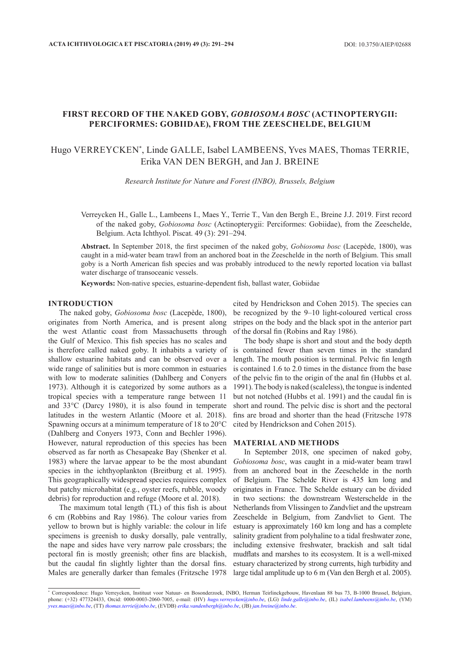## **FIRST RECORD OF THE NAKED GOBY,** *GOBIOSOMA BOSC* **(ACTINOPTERYGII: PERCIFORMES: GOBIIDAE), FROM THE ZEESCHELDE, BELGIUM**

# Hugo VERREYCKEN\* , Linde GALLE, Isabel LAMBEENS, Yves MAES, Thomas TERRIE, Erika VAN DEN BERGH, and Jan J. BREINE

*Research Institute for Nature and Forest (INBO), Brussels, Belgium*

Verreycken H., Galle L., Lambeens I., Maes Y., Terrie T., Van den Bergh E., Breine J.J. 2019. First record of the naked goby, *Gobiosoma bosc* (Actinopterygii: Perciformes: Gobiidae), from the Zeeschelde, Belgium. Acta Ichthyol. Piscat. 49 (3): 291–[294.](#page-3-0)

**Abstract.** In September 2018, the first specimen of the naked goby, *Gobiosoma bosc* (Lacepède, 1800), was caught in a mid-water beam trawl from an anchored boat in the Zeeschelde in the north of Belgium. This small goby is a North American fish species and was probably introduced to the newly reported location via ballast water discharge of transoceanic vessels.

**Keywords:** Non-native species, estuarine-dependent fish, ballast water, Gobiidae

#### **INTRODUCTION**

The naked goby, *Gobiosoma bosc* (Lacepède, 1800), originates from North America, and is present along the west Atlantic coast from Massachusetts through the Gulf of Mexico. This fish species has no scales and is therefore called naked goby. It inhabits a variety of shallow estuarine habitats and can be observed over a wide range of salinities but is more common in estuaries with low to moderate salinities (Dahlberg and Convers 1973). Although it is categorized by some authors as a tropical species with a temperature range between 11 and 33°C (Darcy 1980), it is also found in temperate latitudes in the western Atlantic (Moore et al. 2018). Spawning occurs at a minimum temperature of 18 to 20°C (Dahlberg and Conyers 1973, Conn and Bechler 1996). However, natural reproduction of this species has been observed as far north as Chesapeake Bay (Shenker et al. 1983) where the larvae appear to be the most abundant species in the ichthyoplankton (Breitburg et al. 1995). This geographically widespread species requires complex but patchy microhabitat (e.g., oyster reefs, rubble, woody debris) for reproduction and refuge (Moore et al. 2018).

The maximum total length (TL) of this fish is about 6 cm (Robbins and Ray 1986). The colour varies from yellow to brown but is highly variable: the colour in life specimens is greenish to dusky dorsally, pale ventrally, the nape and sides have very narrow pale crossbars; the pectoral fin is mostly greenish; other fins are blackish, but the caudal fin slightly lighter than the dorsal fins. Males are generally darker than females (Fritzsche 1978

cited by Hendrickson and Cohen 2015). The species can be recognized by the 9–10 light-coloured vertical cross stripes on the body and the black spot in the anterior part of the dorsal fin (Robins and Ray 1986).

The body shape is short and stout and the body depth is contained fewer than seven times in the standard length. The mouth position is terminal. Pelvic fin length is contained 1.6 to 2.0 times in the distance from the base of the pelvic fin to the origin of the anal fin (Hubbs et al. 1991). The body is naked (scaleless), the tongue is indented but not notched (Hubbs et al. 1991) and the caudal fin is short and round. The pelvic disc is short and the pectoral fins are broad and shorter than the head (Fritzsche 1978 cited by Hendrickson and Cohen 2015).

#### **MATERIAL AND METHODS**

In September 2018, one specimen of naked goby, *Gobiosoma bosc*, was caught in a mid-water beam trawl from an anchored boat in the Zeeschelde in the north of Belgium. The Schelde River is 435 km long and originates in France. The Schelde estuary can be divided in two sections: the downstream Westerschelde in the Netherlands from Vlissingen to Zandvliet and the upstream Zeeschelde in Belgium, from Zandvliet to Gent. The estuary is approximately 160 km long and has a complete salinity gradient from polyhaline to a tidal freshwater zone, including extensive freshwater, brackish and salt tidal mudflats and marshes to its ecosystem. It is a well-mixed estuary characterized by strong currents, high turbidity and large tidal amplitude up to 6 m (Van den Bergh et al. 2005).

<sup>\*</sup> Correspondence: Hugo Verreycken, Instituut voor Natuur- en Bosonderzoek, INBO, Herman Teirlinckgebouw, Havenlaan 88 bus 73, B-1000 Brussel, Belgium, phone: (+32) 477324433, Orcid: 0000-0003-2060-7005, e-mail: (HV) *[hugo.verreycken@inbo.be](mailto:hugo.verreycken@inbo.be)*, (LG) *[linde.galle@inbo.be](mailto:linde.galle@inbo.be)*, (IL) *[isabel.lambeens@inbo.be](mailto:isabel.lambeens@inbo.be)*, (YM) *[yves.maes@inbo.be](mailto:yves.maes@inbo.be)*, (TT) *[thomas.terrie@inbo.be](mailto:thomas.terrie@inbo.be)*, (EVDB) *[erika.vandenbergh@inbo.be](mailto:erika.vandenbergh@inbo.be)*, (JB) *[jan.breine@inbo.be](mailto:jan.breine@inbo.be)*.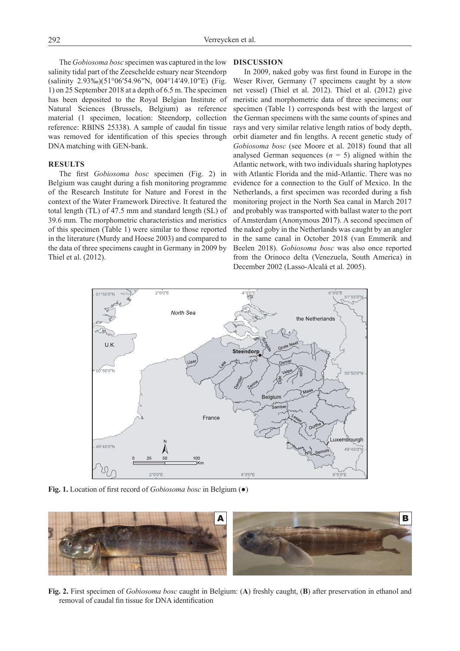The *Gobiosoma bosc* specimen was captured in the low salinity tidal part of the Zeeschelde estuary near Steendorp (salinity 2.93‰)(51°06′54.96′′N, 004°14′49.10′′E) (Fig. 1) on 25 September 2018 at a depth of 6.5 m. The specimen has been deposited to the Royal Belgian Institute of Natural Sciences (Brussels, Belgium) as reference material (1 specimen, location: Steendorp, collection reference: RBINS 25338). A sample of caudal fin tissue was removed for identification of this species through DNA matching with GEN-bank.

## **RESULTS**

The first *Gobiosoma bosc* specimen (Fig. 2) in Belgium was caught during a fish monitoring programme of the Research Institute for Nature and Forest in the context of the Water Framework Directive. It featured the total length (TL) of 47.5 mm and standard length (SL) of 39.6 mm. The morphometric characteristics and meristics of this specimen (Table 1) were similar to those reported in the literature (Murdy and Hoese 2003) and compared to the data of three specimens caught in Germany in 2009 by Thiel et al. (2012).

### **DISCUSSION**

In 2009, naked goby was first found in Europe in the Weser River, Germany (7 specimens caught by a stow net vessel) (Thiel et al. 2012). Thiel et al. (2012) give meristic and morphometric data of three specimens; our specimen (Table 1) corresponds best with the largest of the German specimens with the same counts of spines and rays and very similar relative length ratios of body depth, orbit diameter and fin lengths. A recent genetic study of *Gobiosoma bosc* (see Moore et al. 2018) found that all analysed German sequences  $(n = 5)$  aligned within the Atlantic network, with two individuals sharing haplotypes with Atlantic Florida and the mid-Atlantic. There was no evidence for a connection to the Gulf of Mexico. In the Netherlands, a first specimen was recorded during a fish monitoring project in the North Sea canal in March 2017 and probably was transported with ballast water to the port of Amsterdam (Anonymous 2017). A second specimen of the naked goby in the Netherlands was caught by an angler in the same canal in October 2018 (van Emmerik and Beelen 2018). *Gobiosoma bosc* was also once reported from the Orinoco delta (Venezuela, South America) in December 2002 (Lasso-Alcalá et al. 2005).



**Fig. 1.** Location of first record of *Gobiosoma bosc* in Belgium (●)



**Fig. 2.** First specimen of *Gobiosoma bosc* caught in Belgium: (**A**) freshly caught, (**B**) after preservation in ethanol and removal of caudal fin tissue for DNA identification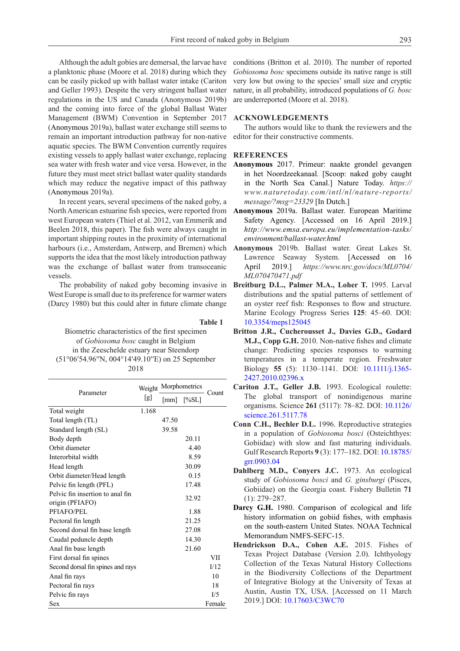Although the adult gobies are demersal, the larvae have a planktonic phase (Moore et al. 2018) during which they can be easily picked up with ballast water intake (Cariton and Geller 1993). Despite the very stringent ballast water regulations in the US and Canada (Anonymous 2019b) and the coming into force of the global Ballast Water Management (BWM) Convention in September 2017 (Anonymous 2019a), ballast water exchange still seems to remain an important introduction pathway for non-native aquatic species. The BWM Convention currently requires existing vessels to apply ballast water exchange, replacing sea water with fresh water and vice versa. However, in the future they must meet strict ballast water quality standards which may reduce the negative impact of this pathway (Anonymous 2019a).

In recent years, several specimens of the naked goby, a North American estuarine fish species, were reported from west European waters (Thiel et al. 2012, van Emmerik and Beelen 2018, this paper). The fish were always caught in important shipping routes in the proximity of international harbours (i.e., Amsterdam, Antwerp, and Bremen) which supports the idea that the most likely introduction pathway was the exchange of ballast water from transoceanic vessels.

The probability of naked goby becoming invasive in West Europe is small due to its preference for warmer waters (Darcy 1980) but this could alter in future climate change

**Table 1**

Biometric characteristics of the first specimen of *Gobiosoma bosc* caught in Belgium in the Zeeschelde estuary near Steendorp (51°06′54.96′′N, 004°14′49.10′′E) on 25 September 2018

| Parameter                         | Weight<br>[g] | Morphometrics |                                  |        |
|-----------------------------------|---------------|---------------|----------------------------------|--------|
|                                   |               |               | ${\text{[mm]}}$ ${\text{[%SL]}}$ | Count  |
| Total weight                      | 1.168         |               |                                  |        |
| Total length (TL)                 |               | 47.50         |                                  |        |
| Standard length (SL)              |               | 39.58         |                                  |        |
| Body depth                        |               |               | 20.11                            |        |
| Orbit diameter                    |               |               | 4.40                             |        |
| Interorbital width                |               |               | 8.59                             |        |
| Head length                       |               |               | 30.09                            |        |
| Orbit diameter/Head length        |               |               | 0.15                             |        |
| Pelvic fin length (PFL)           |               |               | 17.48                            |        |
| Pelvic fin insertion to anal fin  |               |               | 32.92                            |        |
| origin (PFIAFO)                   |               |               |                                  |        |
| PFIAFO/PEL                        |               |               | 1.88                             |        |
| Pectoral fin length               |               |               | 21.25                            |        |
| Second dorsal fin base length     |               |               | 27.08                            |        |
| Caudal peduncle depth             |               |               | 14.30                            |        |
| Anal fin base length              |               |               | 21.60                            |        |
| First dorsal fin spines           |               |               |                                  | VII    |
| Second dorsal fin spines and rays |               |               |                                  | I/12   |
| Anal fin rays                     |               |               |                                  | 10     |
| Pectoral fin rays                 |               |               |                                  | 18     |
| Pelvic fin rays                   |               |               |                                  | I/5    |
| Sex                               |               |               |                                  | Female |

conditions (Britton et al. 2010). The number of reported *Gobiosoma bosc* specimens outside its native range is still very low but owing to the species' small size and cryptic nature, in all probability, introduced populations of *G. bosc* are underreported (Moore et al. 2018).

## **ACKNOWLEDGEMENTS**

The authors would like to thank the reviewers and the editor for their constructive comments.

## **REFERENCES**

- **Anonymous** 2017. Primeur: naakte grondel gevangen in het Noordzeekanaal. [Scoop: naked goby caught in the North Sea Canal.] Nature Today. *https:// www.naturetoday.com/intl/nl/nature-reports/ message/?msg=23329* [In Dutch.]
- **Anonymous** 2019a. Ballast water. European Maritime Safety Agency. [Accessed on 16 April 2019.] *http://www.emsa.europa.eu/implementation-tasks/ environment/ballast-water.html*
- **Anonymous** 2019b. Ballast water. Great Lakes St. Lawrence Seaway System. [Accessed on 16 April 2019.] *https://www.nrc.gov/docs/ML0704/ ML070470471.pdf*
- **Breitburg D.L., Palmer M.A., Loher T.** 1995. Larval distributions and the spatial patterns of settlement of an oyster reef fish: Responses to flow and structure. Marine Ecology Progress Series **125**: 45–60. DOI: [10.3354/meps125045](https://doi.org/10.3354/meps125045)
- **Britton J.R., Cucherousset J., Davies G.D., Godard M.J., Copp G.H.** 2010. Non-native fishes and climate change: Predicting species responses to warming temperatures in a temperate region. Freshwater Biology **55** (5): 1130–1141. DOI: [10.1111/j.1365-](https://doi.org/10.1111/j.1365-2427.2010.02396.x) [2427.2010.02396.x](https://doi.org/10.1111/j.1365-2427.2010.02396.x)
- **Cariton J.T., Geller J.B.** 1993. Ecological roulette: The global transport of nonindigenous marine organisms. Science **261** (5117): 78–82. DOI: [10.1126/](https://doi.org/10.1126/science.261.5117.78) [science.261.5117.78](https://doi.org/10.1126/science.261.5117.78)
- **Conn C.H., Bechler D.L.** 1996. Reproductive strategies in a population of *Gobiosoma bosci* (Osteichthyes: Gobiidae) with slow and fast maturing individuals. Gulf Research Reports **9** (3): 177–182. DOI: [10.18785/](https://doi.org/10.18785/grr.0903.04) [grr.0903.04](https://doi.org/10.18785/grr.0903.04)
- **Dahlberg M.D., Conyers J.C.** 1973. An ecological study of *Gobiosoma bosci* and *G. ginsburgi* (Pisces, Gobiidae) on the Georgia coast. Fishery Bulletin **71** (1): 279–287.
- **Darcy G.H.** 1980. Comparison of ecological and life history information on gobiid fishes, with emphasis on the south-eastern United States. NOAA Technical Memorandum NMFS-SEFC-15.
- **Hendrickson D.A., Cohen A.E.** 2015. Fishes of Texas Project Database (Version 2.0). Ichthyology Collection of the Texas Natural History Collections in the Biodiversity Collections of the Department of Integrative Biology at the University of Texas at Austin, Austin TX, USA. [Accessed on 11 March 2019.] DOI: [10.17603/C3WC70](https://doi.org/10.17603/C3WC70)